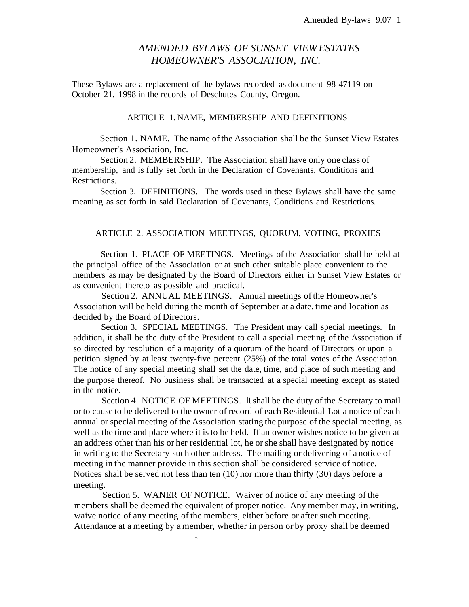# *AMENDED BYLAWS OF SUNSET VIEW ESTATES HOMEOWNER'S ASSOCIATION, INC.*

These Bylaws are a replacement of the bylaws recorded as document 98-47119 on October 21, 1998 in the records of Deschutes County, Oregon.

### ARTICLE 1. NAME, MEMBERSHIP AND DEFINITIONS

Section 1. NAME. The name of the Association shall be the Sunset View Estates Homeowner's Association, Inc.

Section 2. MEMBERSHIP. The Association shall have only one class of membership, and is fully set forth in the Declaration of Covenants, Conditions and Restrictions.

Section 3. DEFINITIONS. The words used in these Bylaws shall have the same meaning as set forth in said Declaration of Covenants, Conditions and Restrictions.

#### ARTICLE 2. ASSOCIATION MEETINGS, QUORUM, VOTING, PROXIES

Section 1. PLACE OF MEETINGS. Meetings of the Association shall be held at the principal office of the Association or at such other suitable place convenient to the members as may be designated by the Board of Directors either in Sunset View Estates or as convenient thereto as possible and practical.

Section 2. ANNUAL MEETINGS. Annual meetings of the Homeowner's Association will be held during the month of September at a date, time and location as decided by the Board of Directors.

Section 3. SPECIAL MEETINGS. The President may call special meetings. In addition, it shall be the duty of the President to call a special meeting of the Association if so directed by resolution of a majority of a quorum of the board of Directors or upon a petition signed by at least twenty-five percent (25%) of the total votes of the Association. The notice of any special meeting shall set the date, time, and place of such meeting and the purpose thereof. No business shall be transacted at a special meeting except as stated in the notice.

Section 4. NOTICE OF MEETINGS. Itshall be the duty of the Secretary to mail or to cause to be delivered to the owner of record of each Residential Lot a notice of each annual or special meeting of the Association stating the purpose of the special meeting, as well as the time and place where it is to be held. If an owner wishes notice to be given at an address other than his or her residential lot, he or she shall have designated by notice in writing to the Secretary such other address. The mailing or delivering of a notice of meeting in the manner provide in this section shall be considered service of notice. Notices shall be served not less than ten (10) nor more than thirty (30) days before a meeting.

Section 5. WANER OF NOTICE. Waiver of notice of any meeting of the members shall be deemed the equivalent of proper notice. Any member may, in writing, waive notice of any meeting of the members, either before or after such meeting. Attendance at a meeting by a member, whether in person or by proxy shall be deemed

··.,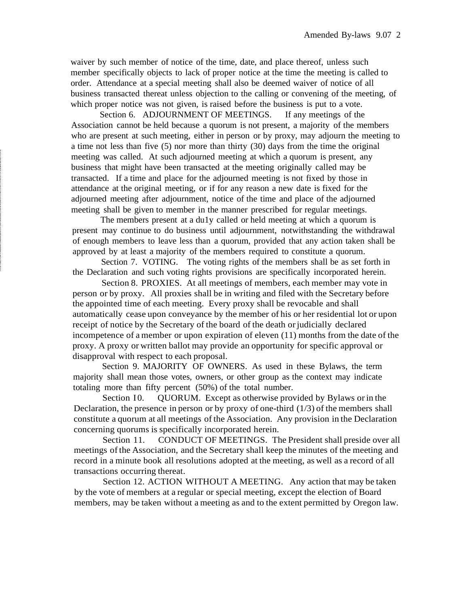waiver by such member of notice of the time, date, and place thereof, unless such member specifically objects to lack of proper notice at the time the meeting is called to order. Attendance at a special meeting shall also be deemed waiver of notice of all business transacted thereat unless objection to the calling or convening of the meeting, of which proper notice was not given, is raised before the business is put to a vote.

Section 6. ADJOURNMENT OF MEETINGS. If any meetings of the Association cannot be held because a quorum is not present, a majority of the members who are present at such meeting, either in person or by proxy, may adjourn the meeting to a time not less than five (5) nor more than thirty (30) days from the time the original meeting was called. At such adjourned meeting at which a quorum is present, any business that might have been transacted at the meeting originally called may be transacted. If a time and place for the adjourned meeting is not fixed by those in attendance at the original meeting, or if for any reason a new date is fixed for the adjourned meeting after adjournment, notice of the time and place of the adjourned meeting shall be given to member in the manner prescribed for regular meetings.

The members present at a du1y called or held meeting at which a quorum is present may continue to do business until adjournment, notwithstanding the withdrawal of enough members to leave less than a quorum, provided that any action taken shall be approved by at least a majority of the members required to constitute a quorum.

Section 7. VOTING. The voting rights of the members shall be as set forth in the Declaration and such voting rights provisions are specifically incorporated herein.

Section 8. PROXIES. At all meetings of members, each member may vote in person or by proxy. All proxies shall be in writing and filed with the Secretary before the appointed time of each meeting. Every proxy shall be revocable and shall automatically cease upon conveyance by the member of his or her residential lot or upon receipt of notice by the Secretary of the board of the death or judicially declared incompetence of a member or upon expiration of eleven (11) months from the date of the proxy. A proxy or written ballot may provide an opportunity for specific approval or disapproval with respect to each proposal.

Section 9. MAJORITY OF OWNERS. As used in these Bylaws, the term majority shall mean those votes, owners, or other group as the context may indicate totaling more than fifty percent (50%) of the total number.

Section I0. QUORUM. Except as otherwise provided by Bylaws or in the Declaration, the presence in person or by proxy of one-third  $(1/3)$  of the members shall constitute a quorum at all meetings of the Association. Any provision in the Declaration concerning quorums is specifically incorporated herein.

Section 11. CONDUCT OF MEETINGS. The President shall preside over all meetings of the Association, and the Secretary shall keep the minutes of the meeting and record in a minute book all resolutions adopted at the meeting, as well as a record of all transactions occurring thereat.

Section 12. ACTION WITHOUT A MEETING. Any action that may be taken by the vote of members at a regular or special meeting, except the election of Board members, may be taken without a meeting as and to the extent permitted by Oregon law.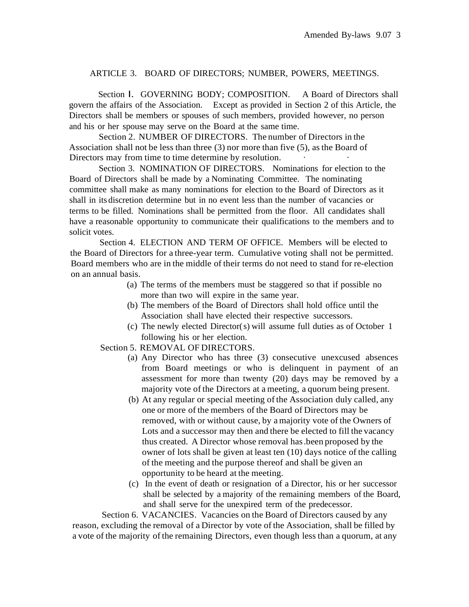### ARTICLE 3. BOARD OF DIRECTORS; NUMBER, POWERS, MEETINGS.

Section I. GOVERNING BODY; COMPOSITION. A Board of Directors shall govern the affairs of the Association. Except as provided in Section 2 of this Article, the Directors shall be members or spouses of such members, provided however, no person and his or her spouse may serve on the Board at the same time.

Section 2. NUMBER OF DIRECTORS. The number of Directors in the Association shall not be less than three (3) nor more than five (5), asthe Board of Directors may from time to time determine by resolution.

Section 3. NOMINATION OF DIRECTORS. Nominations for election to the Board of Directors shall be made by a Nominating Committee. The nominating committee shall make as many nominations for election to the Board of Directors as it shall in its discretion determine but in no event less than the number of vacancies or terms to be filled. Nominations shall be permitted from the floor. All candidates shall have a reasonable opportunity to communicate their qualifications to the members and to solicit votes.

Section 4. ELECTION AND TERM OF OFFICE. Members will be elected to the Board of Directors for a three-year term. Cumulative voting shall not be permitted. Board members who are in the middle of their terms do not need to stand for re-election on an annual basis.

- (a) The terms of the members must be staggered so that if possible no more than two will expire in the same year.
- (b) The members of the Board of Directors shall hold office until the Association shall have elected their respective successors.
- (c) The newly elected Director(s) will assume full duties as of October 1 following his or her election.

Section 5. REMOVAL OF DIRECTORS.

- (a) Any Director who has three (3) consecutive unexcused absences from Board meetings or who is delinquent in payment of an assessment for more than twenty (20) days may be removed by a majority vote of the Directors at a meeting, a quorum being present.
- (b) At any regular or special meeting of the Association duly called, any one or more of the members of the Board of Directors may be removed, with or without cause, by amajority vote of the Owners of Lots and a successor may then and there be elected to fill the vacancy thus created. A Director whose removal has.been proposed by the owner of lots shall be given at least ten (10) days notice of the calling of the meeting and the purpose thereof and shall be given an opportunity to be heard at the meeting.
- (c) In the event of death or resignation of a Director, his or her successor shall be selected by a majority of the remaining members of the Board, and shall serve for the unexpired term of the predecessor.

Section 6. VACANCIES. Vacancies on the Board of Directors caused by any reason, excluding the removal of a Director by vote of the Association, shall be filled by a vote of the majority of the remaining Directors, even though less than a quorum, at any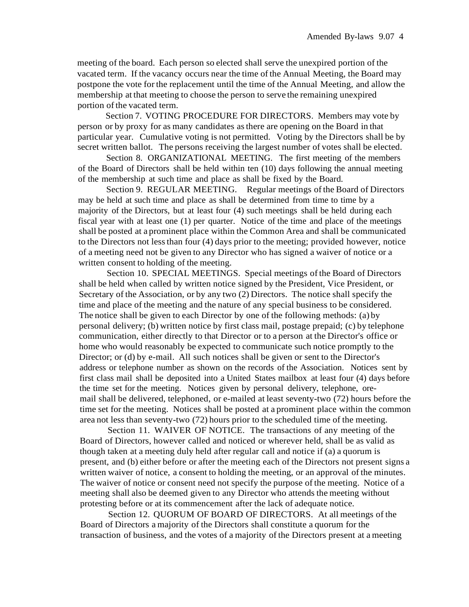meeting of the board. Each person so elected shall serve the unexpired portion of the vacated term. If the vacancy occurs near the time of the Annual Meeting, the Board may postpone the vote for the replacement until the time of the Annual Meeting, and allow the membership at that meeting to choose the person to serve the remaining unexpired portion of the vacated term.

Section 7. VOTING PROCEDURE FOR DIRECTORS. Members may vote by person or by proxy for as many candidates asthere are opening on the Board in that particular year. Cumulative voting is not permitted. Voting by the Directors shall be by secret written ballot. The persons receiving the largest number of votes shall be elected.

Section 8. ORGANIZATIONAL MEETING. The first meeting of the members of the Board of Directors shall be held within ten (10) days following the annual meeting of the membership at such time and place as shall be fixed by the Board.

Section 9. REGULAR MEETING. Regular meetings ofthe Board of Directors may be held at such time and place as shall be determined from time to time by a majority of the Directors, but at least four (4) such meetings shall be held during each fiscal year with at least one (1) per quarter. Notice of the time and place of the meetings shall be posted at a prominent place within the Common Area and shall be communicated to the Directors not lessthan four (4) days prior to the meeting; provided however, notice of a meeting need not be given to any Director who has signed a waiver of notice or a written consent to holding of the meeting.

Section 10. SPECIAL MEETINGS. Special meetings ofthe Board of Directors shall be held when called by written notice signed by the President, Vice President, or Secretary of the Association, or by any two (2) Directors. The notice shall specify the time and place of the meeting and the nature of any special business to be considered. The notice shall be given to each Director by one of the following methods: (a) by personal delivery; (b) written notice by first class mail, postage prepaid; (c) by telephone communication, either directly to that Director or to a person at the Director's office or home who would reasonably be expected to communicate such notice promptly to the Director; or (d) by e-mail. All such notices shall be given or sent to the Director's address or telephone number as shown on the records of the Association. Notices sent by first class mail shall be deposited into a United States mailbox at least four (4) days before the time set for the meeting. Notices given by personal delivery, telephone, oremail shall be delivered, telephoned, or e-mailed at least seventy-two (72) hours before the time set for the meeting. Notices shall be posted at a prominent place within the common area not less than seventy-two (72) hours prior to the scheduled time of the meeting.

Section 11. WAIVER OF NOTICE. The transactions of any meeting of the Board of Directors, however called and noticed or wherever held, shall be as valid as though taken at a meeting duly held after regular call and notice if (a) a quorum is present, and (b) either before or after the meeting each of the Directors not present signs a written waiver of notice, a consent to holding the meeting, or an approval of the minutes. The waiver of notice or consent need not specify the purpose of the meeting. Notice of a meeting shall also be deemed given to any Director who attends the meeting without protesting before or at its commencement after the lack of adequate notice.

Section 12. QUORUM OF BOARD OF DIRECTORS. At all meetings of the Board of Directors a majority of the Directors shall constitute a quorum for the transaction of business, and the votes of a majority of the Directors present at a meeting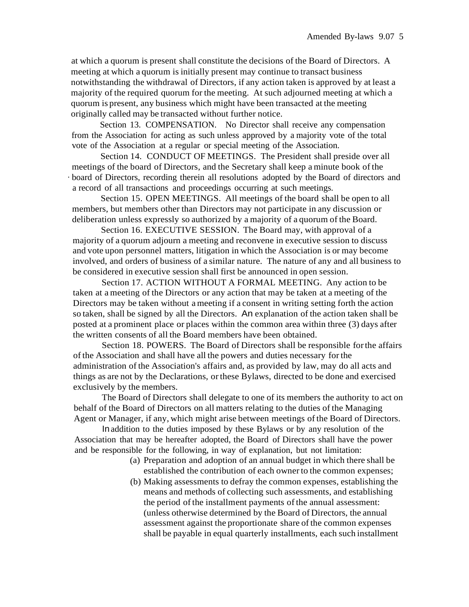at which a quorum is present shall constitute the decisions of the Board of Directors. A meeting at which a quorum is initially present may continue to transact business notwithstanding the withdrawal of Directors, if any action taken is approved by at least a majority of the required quorum for the meeting. At such adjourned meeting at which a quorum is present, any business which might have been transacted at the meeting originally called may be transacted without further notice.

Section 13. COMPENSATION. No Director shall receive any compensation from the Association for acting as such unless approved by a majority vote of the total vote of the Association at a regular or special meeting of the Association.

Section 14. CONDUCT OF MEETINGS. The President shall preside over all meetings of the board of Directors, and the Secretary shall keep a minute book of the · board of Directors, recording therein all resolutions adopted by the Board of directors and a record of all transactions and proceedings occurring at such meetings.

Section 15. OPEN MEETINGS. All meetings of the board shall be open to all members, but members other than Directors may not participate in any discussion or deliberation unless expressly so authorized by a majority of a quorum of the Board.

Section 16. EXECUTIVE SESSION. The Board may, with approval of a majority of a quorum adjourn a meeting and reconvene in executive session to discuss and vote upon personnel matters, litigation in which the Association is or may become involved, and orders of business of a similar nature. The nature of any and all business to be considered in executive session shall first be announced in open session.

Section 17. ACTION WITHOUT A FORMAL MEETING. Any action to be taken at a meeting of the Directors or any action that may be taken at a meeting of the Directors may be taken without ameeting if a consent in writing setting forth the action so taken, shall be signed by all the Directors. An explanation of the action taken shall be posted at a prominent place or places within the common area within three (3) days after the written consents of all the Board members have been obtained.

Section 18. POWERS. The Board of Directors shall be responsible forthe affairs of the Association and shall have all the powers and duties necessary for the administration of the Association's affairs and, as provided by law, may do all acts and things as are not by the Declarations, orthese Bylaws, directed to be done and exercised exclusively by the members.

The Board of Directors shall delegate to one of its members the authority to act on behalf of the Board of Directors on all matters relating to the duties of the Managing Agent or Manager, if any, which might arise between meetings of the Board of Directors.

In addition to the duties imposed by these Bylaws or by any resolution of the Association that may be hereafter adopted, the Board of Directors shall have the power and be responsible for the following, in way of explanation, but not limitation:

- (a) Preparation and adoption of an annual budget in which there shall be established the contribution of each owner to the common expenses;
- (b) Making assessments to defray the common expenses, establishing the means and methods of collecting such assessments, and establishing the period of the installment payments of the annual assessment: (unless otherwise determined by the Board of Directors, the annual assessment against the proportionate share of the common expenses shall be payable in equal quarterly installments, each such installment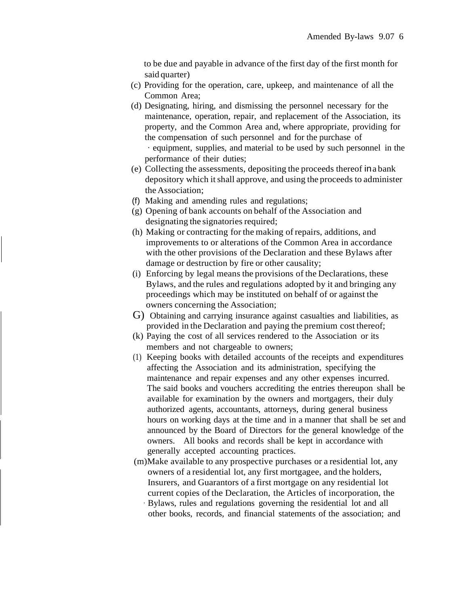to be due and payable in advance of the first day of the first month for said quarter)

- (c) Providing for the operation, care, upkeep, and maintenance of all the Common Area;
- (d) Designating, hiring, and dismissing the personnel necessary for the maintenance, operation, repair, and replacement of the Association, its property, and the Common Area and, where appropriate, providing for the compensation of such personnel and for the purchase of · equipment, supplies, and material to be used by such personnel in the performance of their duties;
- (e) Collecting the assessments, depositing the proceeds thereof ina bank depository which itshall approve, and using the proceeds to administer the Association;
- (f) Making and amending rules and regulations;
- (g) Opening of bank accounts on behalf of the Association and designating the signatories required;
- (h) Making or contracting for the making of repairs, additions, and improvements to or alterations of the Common Area in accordance with the other provisions of the Declaration and these Bylaws after damage or destruction by fire or other causality;
- (i) Enforcing by legal means the provisions of the Declarations, these Bylaws, and the rules and regulations adopted by it and bringing any proceedings which may be instituted on behalf of or against the owners concerning the Association;
- G) Obtaining and carrying insurance against casualties and liabilities, as provided in the Declaration and paying the premium cost thereof;
- (k) Paying the cost of all services rendered to the Association or its members and not chargeable to owners;
- (1) Keeping books with detailed accounts of the receipts and expenditures affecting the Association and its administration, specifying the maintenance and repair expenses and any other expenses incurred. The said books and vouchers accrediting the entries thereupon shall be available for examination by the owners and mortgagers, their duly authorized agents, accountants, attorneys, during general business hours on working days at the time and in a manner that shall be set and announced by the Board of Directors for the general knowledge of the owners. All books and records shall be kept in accordance with generally accepted accounting practices.
- (m)Make available to any prospective purchases or a residential lot, any owners of a residential lot, any first mortgagee, and the holders, Insurers, and Guarantors of a first mortgage on any residential lot current copies of the Declaration, the Articles of incorporation, the · Bylaws, rules and regulations governing the residential lot and all
	- other books, records, and financial statements of the association; and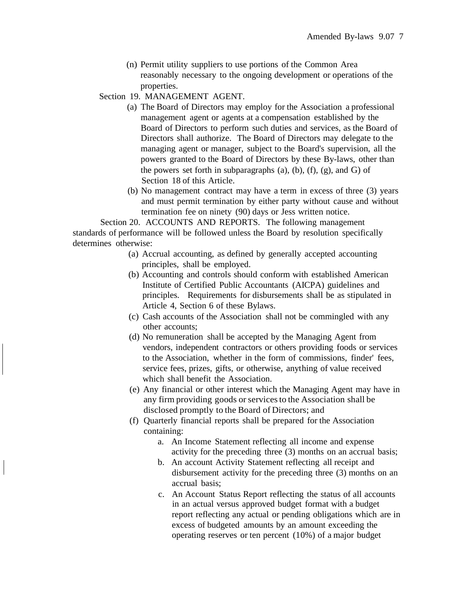(n) Permit utility suppliers to use portions of the Common Area reasonably necessary to the ongoing development or operations of the properties.

Section 19. MANAGEMENT AGENT.

- (a) The Board of Directors may employ for the Association a professional management agent or agents at a compensation established by the Board of Directors to perform such duties and services, as the Board of Directors shall authorize. The Board of Directors may delegate to the managing agent or manager, subject to the Board's supervision, all the powers granted to the Board of Directors by these By-laws, other than the powers set forth in subparagraphs (a), (b), (f), (g), and G) of Section 18 of this Article.
- (b) No management contract may have a term in excess of three (3) years and must permit termination by either party without cause and without termination fee on ninety (90) days or Jess written notice.

Section 20. ACCOUNTS AND REPORTS. The following management standards of performance will be followed unless the Board by resolution specifically determines otherwise:

- (a) Accrual accounting, as defined by generally accepted accounting principles, shall be employed.
- (b) Accounting and controls should conform with established American Institute of Certified Public Accountants (AICPA) guidelines and principles. Requirements for disbursements shall be as stipulated in Article 4, Section 6 of these Bylaws.
- (c) Cash accounts of the Association shall not be commingled with any other accounts;
- (d) No remuneration shall be accepted by the Managing Agent from vendors, independent contractors or others providing foods or services to the Association, whether in the form of commissions, finder' fees, service fees, prizes, gifts, or otherwise, anything of value received which shall benefit the Association.
- (e) Any financial or other interest which the Managing Agent may have in any firm providing goods or services to the Association shall be disclosed promptly to the Board of Directors; and
- (f) Quarterly financial reports shall be prepared for the Association containing:
	- a. An Income Statement reflecting all income and expense activity for the preceding three (3) months on an accrual basis;
	- b. An account Activity Statement reflecting all receipt and disbursement activity for the preceding three (3) months on an accrual basis;
	- c. An Account Status Report reflecting the status of all accounts in an actual versus approved budget format with a budget report reflecting any actual or pending obligations which are in excess of budgeted amounts by an amount exceeding the operating reserves or ten percent (10%) of a major budget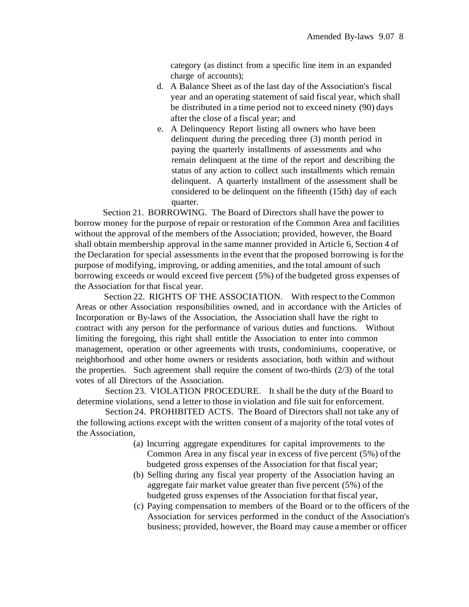category (as distinct from a specific line item in an expanded charge of accounts);

- d. A Balance Sheet as of the last day of the Association's fiscal year and an operating statement of said fiscal year, which shall be distributed in a time period not to exceed ninety (90) days after the close of a fiscal year; and
- e. A Delinquency Report listing all owners who have been delinquent during the preceding three (3) month period in paying the quarterly installments of assessments and who remain delinquent at the time of the report and describing the status of any action to collect such installments which remain delinquent. A quarterly installment of the assessment shall be considered to be delinquent on the fifteenth (15th) day of each quarter.

Section 21. BORROWING. The Board of Directors shall have the power to borrow money for the purpose of repair or restoration of the Common Area and facilities without the approval of the members of the Association; provided, however, the Board shall obtain membership approval in the same manner provided in Article 6, Section 4 of the Declaration for special assessments in the event that the proposed borrowing is forthe purpose of modifying, improving, or adding amenities, and the total amount of such borrowing exceeds or would exceed five percent (5%) of the budgeted gross expenses of the Association for that fiscal year.

Section 22. RIGHTS OF THE ASSOCIATION. With respect to the Common Areas or other Association responsibilities owned, and in accordance with the Articles of Incorporation or By-laws of the Association, the Association shall have the right to contract with any person for the performance of various duties and functions. Without limiting the foregoing, this right shall entitle the Association to enter into common management, operation or other agreements with trusts, condominiums, cooperative, or neighborhood and other home owners or residents association, both within and without the properties. Such agreement shall require the consent of two-thirds (2/3) of the total votes of all Directors of the Association.

Section 23. VIOLATION PROCEDURE. It shall be the duty of the Board to determine violations, send a letter to those in violation and file suit for enforcement.

Section 24. PROHIBITED ACTS. The Board of Directors shall not take any of the following actions except with the written consent of a majority of the total votes of the Association,

- (a) Incurring aggregate expenditures for capital improvements to the Common Area in any fiscal year in excess of five percent (5%) of the budgeted gross expenses of the Association for that fiscal year;
- (b) Selling during any fiscal year property of the Association having an aggregate fair market value greater than five percent  $(5%)$  of the budgeted gross expenses of the Association forthat fiscal year,
- (c) Paying compensation to members of the Board or to the officers of the Association for services performed in the conduct of the Association's business; provided, however, the Board may cause amember or officer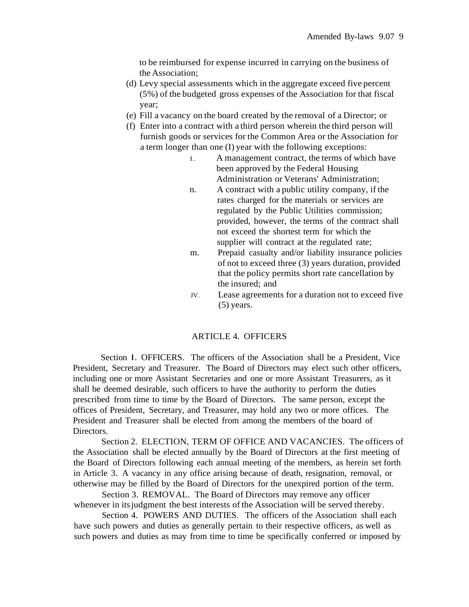to be reimbursed for expense incurred in carrying on the business of the Association;

- (d) Levy special assessments which in the aggregate exceed five percent (5%) of the budgeted gross expenses of the Association for that fiscal year;
- (e) Fill a vacancy on the board created by the removal of a Director; or
- (f) Enter into a contract with a third person wherein the third person will furnish goods or services for the Common Area or the Association for a term longer than one (I) year with the following exceptions:
	- 1. A management contract, the terms of which have been approved by the Federal Housing Administration or Veterans' Administration;
	- n. A contract with a public utility company, if the rates charged for the materials or services are regulated by the Public Utilities commission; provided, however, the terms of the contract shall not exceed the shortest term for which the supplier will contract at the regulated rate;
	- m. Prepaid casualty and/or liability insurance policies of not to exceed three (3) years duration, provided that the policy permits short rate cancellation by the insured; and
	- JV. Lease agreements for a duration not to exceed five (5) years.

### ARTICLE 4. OFFICERS

Section I. OFFICERS. The officers of the Association shall be a President, Vice President, Secretary and Treasurer. The Board of Directors may elect such other officers, including one or more Assistant Secretaries and one or more Assistant Treasurers, as it shall be deemed desirable, such officers to have the authority to perform the duties prescribed from time to time by the Board of Directors. The same person, except the offices of President, Secretary, and Treasurer, may hold any two or more offices. The President and Treasurer shall be elected from among the members of the board of Directors.

Section 2. ELECTION, TERM OF OFFICE AND VACANCIES. The officers of the Association shall be elected annually by the Board of Directors at the first meeting of the Board of Directors following each annual meeting of the members, as herein set forth in Article 3. A vacancy in any office arising because of death, resignation, removal, or otherwise may be filled by the Board of Directors for the unexpired portion of the term.

Section 3. REMOVAL. The Board of Directors may remove any officer whenever in its judgment the best interests of the Association will be served thereby.

Section 4. POWERS AND DUTIES. The officers of the Association shall each have such powers and duties as generally pertain to their respective officers, as well as such powers and duties as may from time to time be specifically conferred or imposed by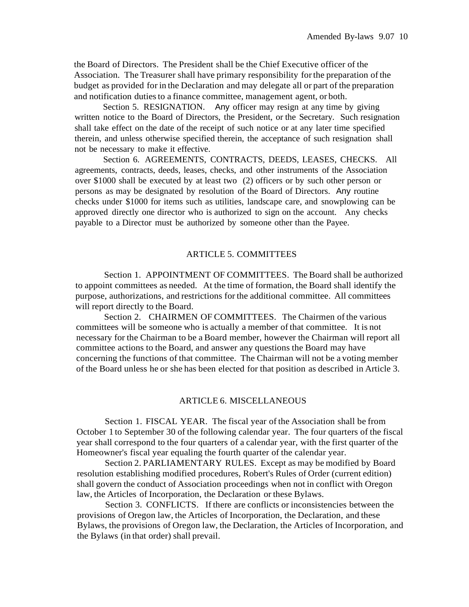the Board of Directors. The President shall be the Chief Executive officer of the Association. The Treasurer shall have primary responsibility forthe preparation ofthe budget as provided for in the Declaration and may delegate all or part of the preparation and notification dutiesto a finance committee, management agent, or both.

Section 5. RESIGNATION. Any officer may resign at any time by giving written notice to the Board of Directors, the President, or the Secretary. Such resignation shall take effect on the date of the receipt of such notice or at any later time specified therein, and unless otherwise specified therein, the acceptance of such resignation shall not be necessary to make it effective.

Section 6. AGREEMENTS, CONTRACTS, DEEDS, LEASES, CHECKS. All agreements, contracts, deeds, leases, checks, and other instruments of the Association over \$1000 shall be executed by at least two (2) officers or by such other person or persons as may be designated by resolution of the Board of Directors. Any routine checks under \$1000 for items such as utilities, landscape care, and snowplowing can be approved directly one director who is authorized to sign on the account. Any checks payable to a Director must be authorized by someone other than the Payee.

### ARTICLE 5. COMMITTEES

Section 1. APPOINTMENT OF COMMITTEES. The Board shall be authorized to appoint committees as needed. At the time of formation, the Board shall identify the purpose, authorizations, and restrictions for the additional committee. All committees will report directly to the Board.

Section 2. CHAIRMEN OF COMMITTEES. The Chairmen of the various committees will be someone who is actually a member of that committee. It is not necessary for the Chairman to be a Board member, however the Chairman will report all committee actions to the Board, and answer any questions the Board may have concerning the functions of that committee. The Chairman will not be a voting member of the Board unless he or she has been elected for that position as described in Article 3.

#### ARTICLE 6. MISCELLANEOUS

Section 1. FISCAL YEAR. The fiscal year of the Association shall be from October 1 to September 30 of the following calendar year. The four quarters of the fiscal year shall correspond to the four quarters of a calendar year, with the first quarter of the Homeowner's fiscal year equaling the fourth quarter of the calendar year.

Section 2. PARLIAMENTARY RULES. Except as may be modified by Board resolution establishing modified procedures, Robert's Rules of Order (current edition) shall govern the conduct of Association proceedings when not in conflict with Oregon law, the Articles of Incorporation, the Declaration or these Bylaws.

Section 3. CONFLICTS. If there are conflicts or inconsistencies between the provisions of Oregon law, the Articles of Incorporation, the Declaration, and these Bylaws, the provisions of Oregon law, the Declaration, the Articles of Incorporation, and the Bylaws (in that order) shall prevail.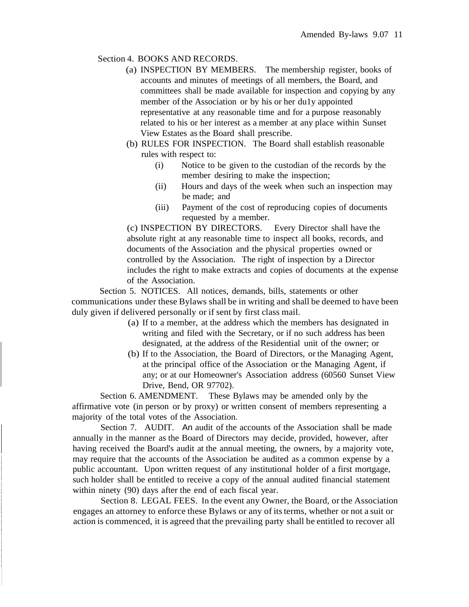## Section 4. BOOKS AND RECORDS.

- (a) INSPECTION BY MEMBERS. The membership register, books of accounts and minutes of meetings of all members, the Board, and committees shall be made available for inspection and copying by any member of the Association or by his or her du1y appointed representative at any reasonable time and for a purpose reasonably related to his or her interest as a member at any place within Sunset View Estates as the Board shall prescribe.
- (b) RULES FOR INSPECTION. The Board shall establish reasonable rules with respect to:
	- (i) Notice to be given to the custodian of the records by the member desiring to make the inspection;
	- (ii) Hours and days of the week when such an inspection may be made; and
	- (iii) Payment of the cost of reproducing copies of documents requested by a member.

(c) INSPECTION BY DIRECTORS. Every Director shall have the absolute right at any reasonable time to inspect all books, records, and documents of the Association and the physical properties owned or controlled by the Association. The right of inspection by a Director includes the right to make extracts and copies of documents at the expense of the Association.

Section 5. NOTICES. All notices, demands, bills, statements or other communications under these Bylaws shall be in writing and shall be deemed to have been duly given if delivered personally or if sent by first class mail.

- (a) If to a member, at the address which the members has designated in writing and filed with the Secretary, or if no such address has been designated, at the address of the Residential unit of the owner; or
- (b) If to the Association, the Board of Directors, or the Managing Agent, at the principal office of the Association or the Managing Agent, if any; or at our Homeowner's Association address (60560 Sunset View Drive, Bend, OR 97702).

Section 6. AMENDMENT. These Bylaws may be amended only by the affirmative vote (in person or by proxy) or written consent of members representing a majority of the total votes of the Association.

Section 7. AUDIT. An audit of the accounts of the Association shall be made annually in the manner as the Board of Directors may decide, provided, however, after having received the Board's audit at the annual meeting, the owners, by a majority vote, may require that the accounts of the Association be audited as a common expense by a public accountant. Upon written request of any institutional holder of a first mortgage, such holder shall be entitled to receive a copy of the annual audited financial statement within ninety (90) days after the end of each fiscal year.

Section 8. LEGAL FEES. In the event any Owner, the Board, or the Association engages an attorney to enforce these Bylaws or any of itsterms, whether or not a suit or action is commenced, it is agreed that the prevailing party shall be entitled to recover all